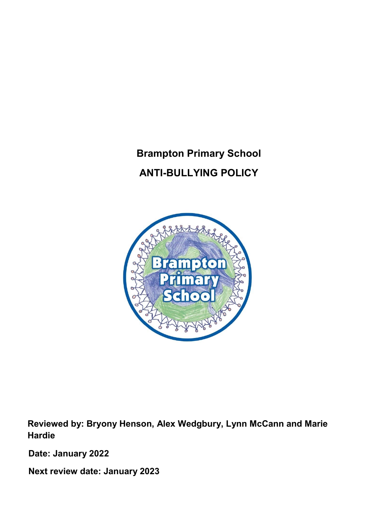# Brampton Primary School ANTI-BULLYING POLICY



Reviewed by: Bryony Henson, Alex Wedgbury, Lynn McCann and Marie Hardie

Date: January 2022

Next review date: January 2023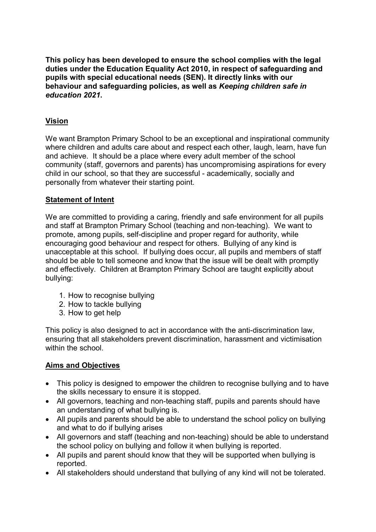This policy has been developed to ensure the school complies with the legal duties under the Education Equality Act 2010, in respect of safeguarding and pupils with special educational needs (SEN). It directly links with our behaviour and safeguarding policies, as well as Keeping children safe in education 2021.

# Vision

We want Brampton Primary School to be an exceptional and inspirational community where children and adults care about and respect each other, laugh, learn, have fun and achieve. It should be a place where every adult member of the school community (staff, governors and parents) has uncompromising aspirations for every child in our school, so that they are successful - academically, socially and personally from whatever their starting point.

#### Statement of Intent

We are committed to providing a caring, friendly and safe environment for all pupils and staff at Brampton Primary School (teaching and non-teaching). We want to promote, among pupils, self-discipline and proper regard for authority, while encouraging good behaviour and respect for others. Bullying of any kind is unacceptable at this school. If bullying does occur, all pupils and members of staff should be able to tell someone and know that the issue will be dealt with promptly and effectively. Children at Brampton Primary School are taught explicitly about bullying:

- 1. How to recognise bullying
- 2. How to tackle bullying
- 3. How to get help

This policy is also designed to act in accordance with the anti-discrimination law, ensuring that all stakeholders prevent discrimination, harassment and victimisation within the school

# Aims and Objectives

- This policy is designed to empower the children to recognise bullying and to have the skills necessary to ensure it is stopped.
- All governors, teaching and non-teaching staff, pupils and parents should have an understanding of what bullying is.
- All pupils and parents should be able to understand the school policy on bullying and what to do if bullying arises
- All governors and staff (teaching and non-teaching) should be able to understand the school policy on bullying and follow it when bullying is reported.
- All pupils and parent should know that they will be supported when bullying is reported.
- All stakeholders should understand that bullying of any kind will not be tolerated.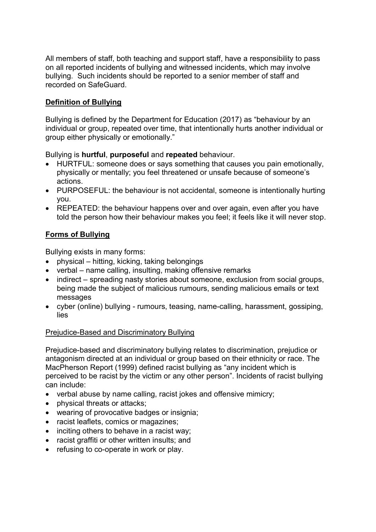All members of staff, both teaching and support staff, have a responsibility to pass on all reported incidents of bullying and witnessed incidents, which may involve bullying. Such incidents should be reported to a senior member of staff and recorded on SafeGuard.

# Definition of Bullying

Bullying is defined by the Department for Education (2017) as "behaviour by an individual or group, repeated over time, that intentionally hurts another individual or group either physically or emotionally."

Bullying is hurtful, purposeful and repeated behaviour.

- HURTFUL: someone does or says something that causes you pain emotionally, physically or mentally; you feel threatened or unsafe because of someone's actions.
- PURPOSEFUL: the behaviour is not accidental, someone is intentionally hurting you.
- REPEATED: the behaviour happens over and over again, even after you have told the person how their behaviour makes you feel; it feels like it will never stop.

# Forms of Bullying

Bullying exists in many forms:

- physical hitting, kicking, taking belongings
- verbal name calling, insulting, making offensive remarks
- indirect spreading nasty stories about someone, exclusion from social groups, being made the subject of malicious rumours, sending malicious emails or text messages
- cyber (online) bullying rumours, teasing, name-calling, harassment, gossiping, lies

#### Prejudice-Based and Discriminatory Bullying

Prejudice-based and discriminatory bullying relates to discrimination, prejudice or antagonism directed at an individual or group based on their ethnicity or race. The MacPherson Report (1999) defined racist bullying as "any incident which is perceived to be racist by the victim or any other person". Incidents of racist bullying can include:

- verbal abuse by name calling, racist jokes and offensive mimicry;
- physical threats or attacks;
- wearing of provocative badges or insignia;
- racist leaflets, comics or magazines;
- $\bullet$  inciting others to behave in a racist way;
- racist graffiti or other written insults; and
- refusing to co-operate in work or play.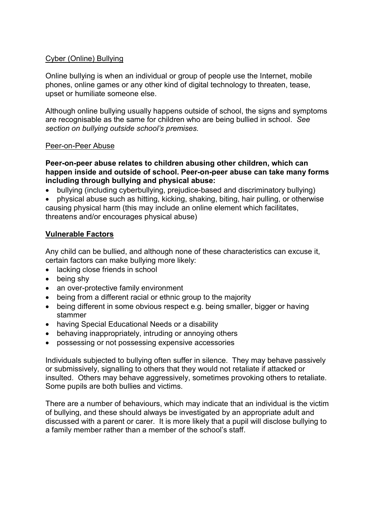#### Cyber (Online) Bullying

Online bullying is when an individual or group of people use the Internet, mobile phones, online games or any other kind of digital technology to threaten, tease, upset or humiliate someone else.

Although online bullying usually happens outside of school, the signs and symptoms are recognisable as the same for children who are being bullied in school. See section on bullying outside school's premises.

#### Peer-on-Peer Abuse

Peer-on-peer abuse relates to children abusing other children, which can happen inside and outside of school. Peer-on-peer abuse can take many forms including through bullying and physical abuse:

bullying (including cyberbullying, prejudice-based and discriminatory bullying)

 physical abuse such as hitting, kicking, shaking, biting, hair pulling, or otherwise causing physical harm (this may include an online element which facilitates, threatens and/or encourages physical abuse)

#### Vulnerable Factors

Any child can be bullied, and although none of these characteristics can excuse it, certain factors can make bullying more likely:

- lacking close friends in school
- being shy
- an over-protective family environment
- being from a different racial or ethnic group to the majority
- being different in some obvious respect e.g. being smaller, bigger or having stammer
- having Special Educational Needs or a disability
- behaving inappropriately, intruding or annoying others
- possessing or not possessing expensive accessories

Individuals subjected to bullying often suffer in silence. They may behave passively or submissively, signalling to others that they would not retaliate if attacked or insulted. Others may behave aggressively, sometimes provoking others to retaliate. Some pupils are both bullies and victims.

There are a number of behaviours, which may indicate that an individual is the victim of bullying, and these should always be investigated by an appropriate adult and discussed with a parent or carer. It is more likely that a pupil will disclose bullying to a family member rather than a member of the school's staff.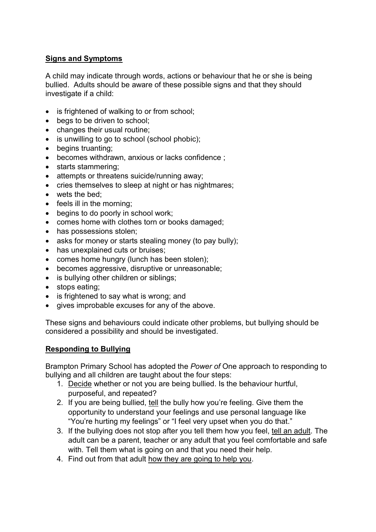### Signs and Symptoms

A child may indicate through words, actions or behaviour that he or she is being bullied. Adults should be aware of these possible signs and that they should investigate if a child:

- is frightened of walking to or from school;
- begs to be driven to school;
- changes their usual routine;
- is unwilling to go to school (school phobic);
- begins truanting;
- becomes withdrawn, anxious or lacks confidence ;
- starts stammering;
- attempts or threatens suicide/running away;
- cries themselves to sleep at night or has nightmares;
- wets the bed;
- $\bullet$  feels ill in the morning;
- begins to do poorly in school work;
- comes home with clothes torn or books damaged;
- has possessions stolen;
- asks for money or starts stealing money (to pay bully);
- has unexplained cuts or bruises;
- comes home hungry (lunch has been stolen);
- becomes aggressive, disruptive or unreasonable;
- is bullying other children or siblings;
- stops eating;
- is frightened to say what is wrong; and
- gives improbable excuses for any of the above.

These signs and behaviours could indicate other problems, but bullying should be considered a possibility and should be investigated.

#### Responding to Bullying

Brampton Primary School has adopted the Power of One approach to responding to bullying and all children are taught about the four steps:

- 1. Decide whether or not you are being bullied. Is the behaviour hurtful, purposeful, and repeated?
- 2. If you are being bullied, tell the bully how you're feeling. Give them the opportunity to understand your feelings and use personal language like "You're hurting my feelings" or "I feel very upset when you do that."
- 3. If the bullying does not stop after you tell them how you feel, tell an adult. The adult can be a parent, teacher or any adult that you feel comfortable and safe with. Tell them what is going on and that you need their help.
- 4. Find out from that adult how they are going to help you.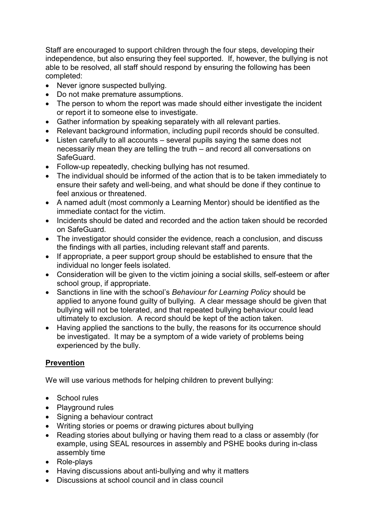Staff are encouraged to support children through the four steps, developing their independence, but also ensuring they feel supported. If, however, the bullying is not able to be resolved, all staff should respond by ensuring the following has been completed:

- Never ignore suspected bullying.
- Do not make premature assumptions.
- The person to whom the report was made should either investigate the incident or report it to someone else to investigate.
- Gather information by speaking separately with all relevant parties.
- Relevant background information, including pupil records should be consulted.
- Listen carefully to all accounts several pupils saying the same does not necessarily mean they are telling the truth – and record all conversations on SafeGuard.
- Follow-up repeatedly, checking bullying has not resumed.
- The individual should be informed of the action that is to be taken immediately to ensure their safety and well-being, and what should be done if they continue to feel anxious or threatened.
- A named adult (most commonly a Learning Mentor) should be identified as the immediate contact for the victim.
- Incidents should be dated and recorded and the action taken should be recorded on SafeGuard.
- The investigator should consider the evidence, reach a conclusion, and discuss the findings with all parties, including relevant staff and parents.
- If appropriate, a peer support group should be established to ensure that the individual no longer feels isolated.
- Consideration will be given to the victim joining a social skills, self-esteem or after school group, if appropriate.
- Sanctions in line with the school's Behaviour for Learning Policy should be applied to anyone found guilty of bullying. A clear message should be given that bullying will not be tolerated, and that repeated bullying behaviour could lead ultimately to exclusion. A record should be kept of the action taken.
- Having applied the sanctions to the bully, the reasons for its occurrence should be investigated. It may be a symptom of a wide variety of problems being experienced by the bully.

# Prevention

We will use various methods for helping children to prevent bullying:

- School rules
- Playground rules
- Signing a behaviour contract
- Writing stories or poems or drawing pictures about bullying
- Reading stories about bullying or having them read to a class or assembly (for example, using SEAL resources in assembly and PSHE books during in-class assembly time
- Role-plays
- Having discussions about anti-bullying and why it matters
- Discussions at school council and in class council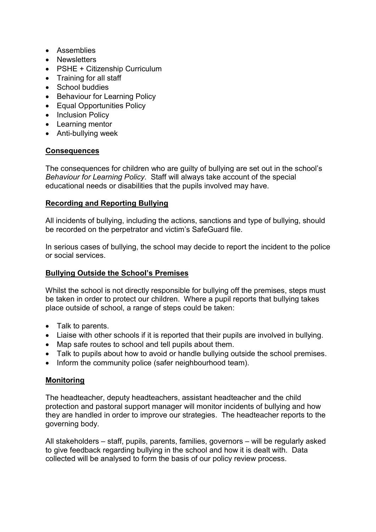- Assemblies
- Newsletters
- PSHE + Citizenship Curriculum
- Training for all staff
- School buddies
- Behaviour for Learning Policy
- Equal Opportunities Policy
- Inclusion Policv
- Learning mentor
- Anti-bullying week

# **Consequences**

The consequences for children who are guilty of bullying are set out in the school's Behaviour for Learning Policy. Staff will always take account of the special educational needs or disabilities that the pupils involved may have.

# Recording and Reporting Bullying

All incidents of bullying, including the actions, sanctions and type of bullying, should be recorded on the perpetrator and victim's SafeGuard file.

In serious cases of bullying, the school may decide to report the incident to the police or social services.

# Bullying Outside the School's Premises

Whilst the school is not directly responsible for bullying off the premises, steps must be taken in order to protect our children. Where a pupil reports that bullying takes place outside of school, a range of steps could be taken:

- Talk to parents.
- Liaise with other schools if it is reported that their pupils are involved in bullying.
- Map safe routes to school and tell pupils about them.
- Talk to pupils about how to avoid or handle bullying outside the school premises.
- Inform the community police (safer neighbourhood team).

# Monitoring

The headteacher, deputy headteachers, assistant headteacher and the child protection and pastoral support manager will monitor incidents of bullying and how they are handled in order to improve our strategies. The headteacher reports to the governing body.

All stakeholders – staff, pupils, parents, families, governors – will be regularly asked to give feedback regarding bullying in the school and how it is dealt with. Data collected will be analysed to form the basis of our policy review process.